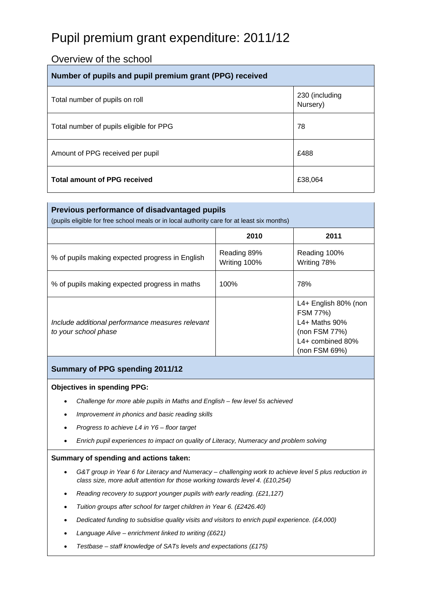# Pupil premium grant expenditure: 2011/12

## Overview of the school

| Number of pupils and pupil premium grant (PPG) received |                            |  |
|---------------------------------------------------------|----------------------------|--|
| Total number of pupils on roll                          | 230 (including<br>Nursery) |  |
| Total number of pupils eligible for PPG                 | 78                         |  |
| Amount of PPG received per pupil                        | £488                       |  |
| <b>Total amount of PPG received</b>                     | £38,064                    |  |

| Previous performance of disadvantaged pupils<br>(pupils eligible for free school meals or in local authority care for at least six months) |                             |                                                                                                         |  |  |
|--------------------------------------------------------------------------------------------------------------------------------------------|-----------------------------|---------------------------------------------------------------------------------------------------------|--|--|
|                                                                                                                                            | 2010                        | 2011                                                                                                    |  |  |
| % of pupils making expected progress in English                                                                                            | Reading 89%<br>Writing 100% | Reading 100%<br>Writing 78%                                                                             |  |  |
| % of pupils making expected progress in maths                                                                                              | 100%                        | 78%                                                                                                     |  |  |
| Include additional performance measures relevant<br>to your school phase                                                                   |                             | L4+ English 80% (non<br>FSM 77%)<br>L4+ Maths 90%<br>(non FSM 77%)<br>L4+ combined 80%<br>(non FSM 69%) |  |  |

#### **Summary of PPG spending 2011/12**

#### **Objectives in spending PPG:**

- *Challenge for more able pupils in Maths and English few level 5s achieved*
- *Improvement in phonics and basic reading skills*
- *Progress to achieve L4 in Y6 floor target*
- *Enrich pupil experiences to impact on quality of Literacy, Numeracy and problem solving*

#### **Summary of spending and actions taken:**

- *G&T group in Year 6 for Literacy and Numeracy challenging work to achieve level 5 plus reduction in class size, more adult attention for those working towards level 4. (£10,254)*
- *Reading recovery to support younger pupils with early reading. (£21,127)*
- *Tuition groups after school for target children in Year 6. (£2426.40)*
- *Dedicated funding to subsidise quality visits and visitors to enrich pupil experience. (£4,000)*
- *Language Alive enrichment linked to writing (£621)*
- *Testbase staff knowledge of SATs levels and expectations (£175)*